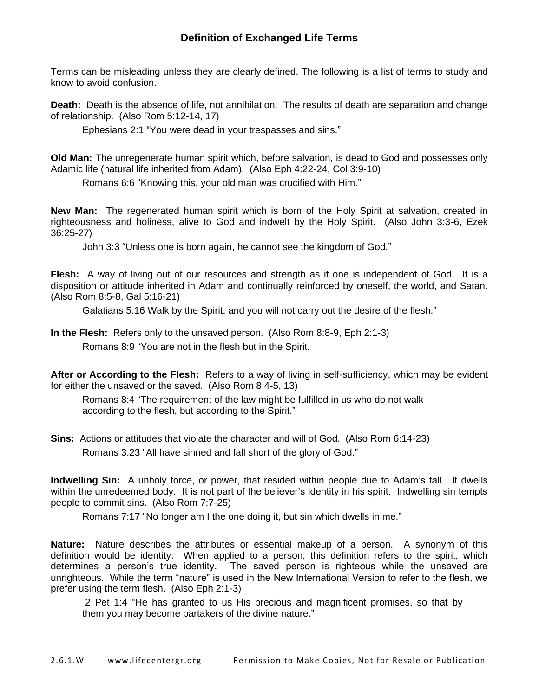## **Definition of Exchanged Life Terms**

Terms can be misleading unless they are clearly defined. The following is a list of terms to study and know to avoid confusion.

**Death:** Death is the absence of life, not annihilation. The results of death are separation and change of relationship. (Also Rom 5:12-14, 17)

Ephesians 2:1 "You were dead in your trespasses and sins."

**Old Man:** The unregenerate human spirit which, before salvation, is dead to God and possesses only Adamic life (natural life inherited from Adam). (Also Eph 4:22-24, Col 3:9-10)

Romans 6:6 "Knowing this, your old man was crucified with Him."

**New Man:** The regenerated human spirit which is born of the Holy Spirit at salvation, created in righteousness and holiness, alive to God and indwelt by the Holy Spirit. (Also John 3:3-6, Ezek 36:25-27)

John 3:3 "Unless one is born again, he cannot see the kingdom of God."

**Flesh:** A way of living out of our resources and strength as if one is independent of God. It is a disposition or attitude inherited in Adam and continually reinforced by oneself, the world, and Satan. (Also Rom 8:5-8, Gal 5:16-21)

Galatians 5:16 Walk by the Spirit, and you will not carry out the desire of the flesh."

**In the Flesh:** Refers only to the unsaved person. (Also Rom 8:8-9, Eph 2:1-3)

Romans 8:9 "You are not in the flesh but in the Spirit.

**After or According to the Flesh:** Refers to a way of living in self-sufficiency, which may be evident for either the unsaved or the saved. (Also Rom 8:4-5, 13)

Romans 8:4 "The requirement of the law might be fulfilled in us who do not walk according to the flesh, but according to the Spirit."

**Sins:** Actions or attitudes that violate the character and will of God. (Also Rom 6:14-23) Romans 3:23 "All have sinned and fall short of the glory of God."

**Indwelling Sin:** A unholy force, or power, that resided within people due to Adam's fall. It dwells within the unredeemed body. It is not part of the believer's identity in his spirit. Indwelling sin tempts people to commit sins. (Also Rom 7:7-25)

Romans 7:17 "No longer am I the one doing it, but sin which dwells in me."

**Nature:** Nature describes the attributes or essential makeup of a person. A synonym of this definition would be identity. When applied to a person, this definition refers to the spirit, which determines a person's true identity. The saved person is righteous while the unsaved are unrighteous. While the term "nature" is used in the New International Version to refer to the flesh, we prefer using the term flesh. (Also Eph 2:1-3)

2 Pet 1:4 "He has granted to us His precious and magnificent promises, so that by them you may become partakers of the divine nature."